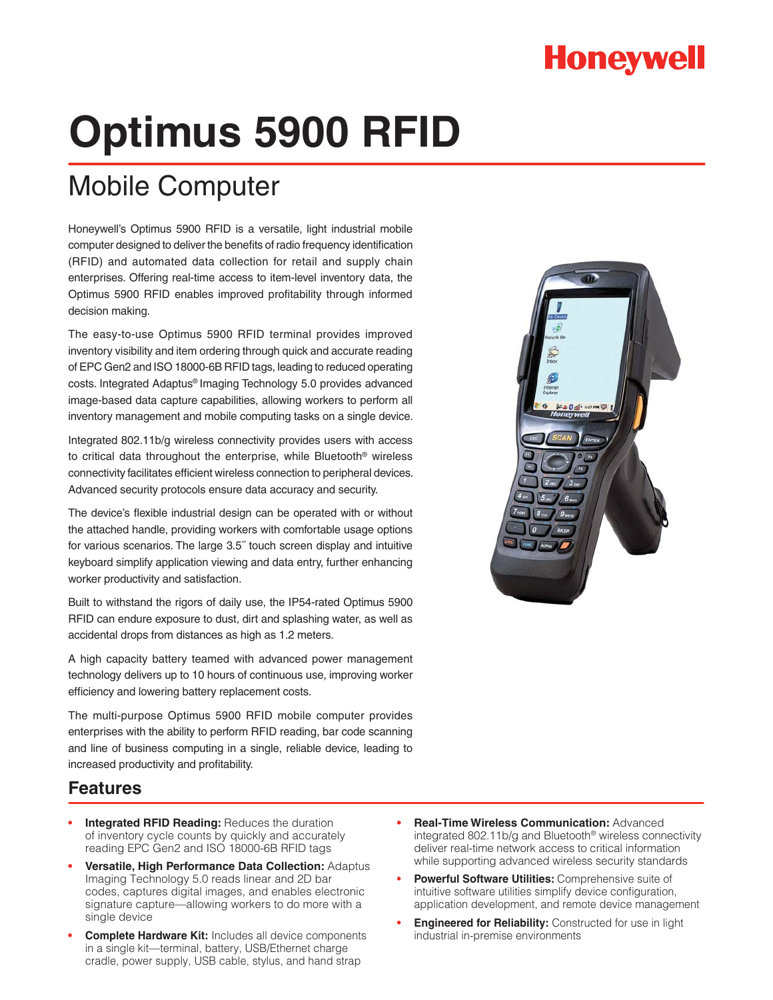## **Honeywell**

# **Optimus 5900 RFID**

## Mobile Computer

Honeywell's Optimus 5900 RFID is a versatile, light industrial mobile computer designed to deliver the benefits of radio frequency identification (RFID) and automated data collection for retail and supply chain enterprises. Offering real-time access to item-level inventory data, the Optimus 5900 RFID enables improved profitability through informed decision making.

The easy-to-use Optimus 5900 RFID terminal provides improved inventory visibility and item ordering through quick and accurate reading of EPC Gen2 and ISO 18000-6B RFID tags, leading to reduced operating costs. Integrated Adaptus® Imaging Technology 5.0 provides advanced image-based data capture capabilities, allowing workers to perform all inventory management and mobile computing tasks on a single device.

Integrated 802.11b/g wireless connectivity provides users with access to critical data throughout the enterprise, while Bluetooth® wireless connectivity facilitates efficient wireless connection to peripheral devices. Advanced security protocols ensure data accuracy and security.

The device's flexible industrial design can be operated with or without the attached handle, providing workers with comfortable usage options for various scenarios. The large 3.5˝ touch screen display and intuitive keyboard simplify application viewing and data entry, further enhancing worker productivity and satisfaction.

Built to withstand the rigors of daily use, the IP54-rated Optimus 5900 RFID can endure exposure to dust, dirt and splashing water, as well as accidental drops from distances as high as 1.2 meters.

A high capacity battery teamed with advanced power management technology delivers up to 10 hours of continuous use, improving worker efficiency and lowering battery replacement costs.

The multi-purpose Optimus 5900 RFID mobile computer provides enterprises with the ability to perform RFID reading, bar code scanning and line of business computing in a single, reliable device, leading to increased productivity and profitability.

### **Features**

- **Integrated RFID Reading: Reduces the duration** of inventory cycle counts by quickly and accurately reading EPC Gen2 and ISO 18000-6B RFID tags
- **s Versatile, High Performance Data Collection:** Adaptus Imaging Technology 5.0 reads linear and 2D bar codes, captures digital images, and enables electronic signature capture—allowing workers to do more with a single device
- **s Complete Hardware Kit:** Includes all device components in a single kit—terminal, battery, USB/Ethernet charge cradle, power supply, USB cable, stylus, and hand strap
- **s Real-Time Wireless Communication:** Advanced integrated 802.11b/g and Bluetooth® wireless connectivity deliver real-time network access to critical information while supporting advanced wireless security standards
- **s Powerful Software Utilities:** Comprehensive suite of intuitive software utilities simplify device configuration, application development, and remote device management
- **s Engineered for Reliability:** Constructed for use in light industrial in-premise environments